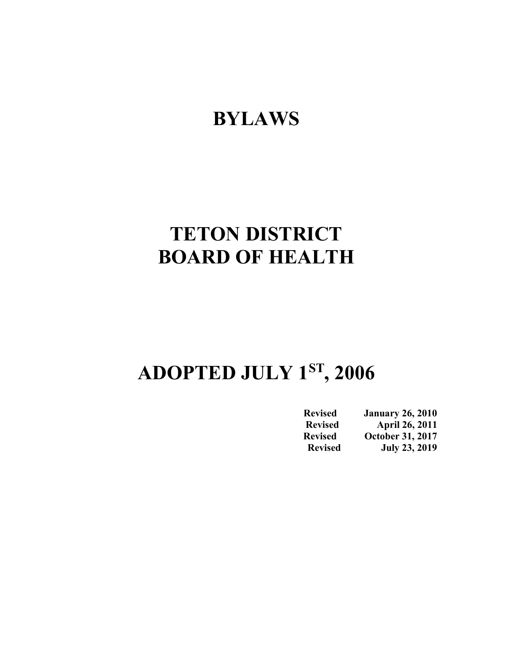## **BYLAWS**

# **TETON DISTRICT BOARD OF HEALTH**

# **ADOPTED JULY 1ST, 2006**

| <b>Revised</b> | <b>January 26, 2010</b> |
|----------------|-------------------------|
| <b>Revised</b> | <b>April 26, 2011</b>   |
| <b>Revised</b> | <b>October 31, 2017</b> |
| <b>Revised</b> | <b>July 23, 2019</b>    |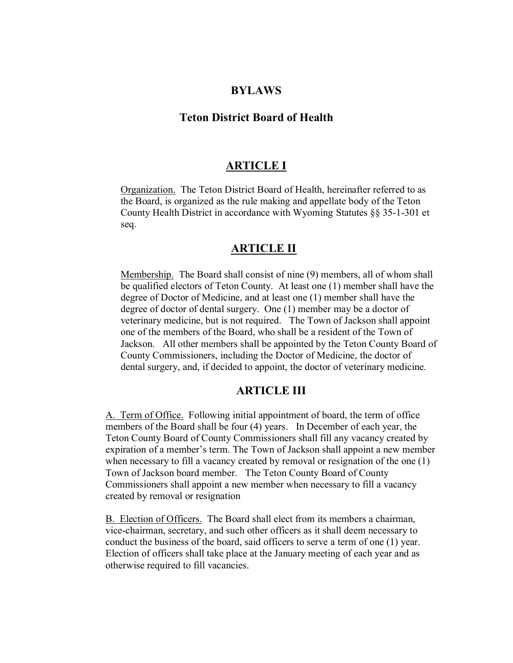#### **BYLAWS**

#### **Teton District Board of Health**

#### **ARTICLE I**

Organization. The Teton District Board of Health, hereinafter referred to as the Board, is organized as the rule making and appellate body of the Teton County Health District in accordance with Wyoming Statutes §§ 35-1-301 et seq.

#### **ARTICLE II**

Membership. The Board shall consist of nine (9) members, all of whom shall be qualified electors of Teton County. At least one (1) member shall have the degree of Doctor of Medicine, and at least one (1) member shall have the degree of doctor of dental surgery. One (1) member may be a doctor of veterinary medicine, but is not required. The Town of Jackson shall appoint one of the members of the Board, who shall be a resident of the Town of Jackson. All other members shall be appointed by the Teton County Board of County Commissioners, including the Doctor of Medicine, the doctor of dental surgery, and, if decided to appoint, the doctor of veterinary medicine.

#### **ARTICLE III**

A. Term of Office. Following initial appointment of board, the term of office members of the Board shall be four (4) years. In December of each year, the Teton County Board of County Commissioners shall fill any vacancy created by expiration of a member's term. The Town of Jackson shall appoint a new member when necessary to fill a vacancy created by removal or resignation of the one (1) Town of Jackson board member. The Teton County Board of County Commissioners shall appoint a new member when necessary to fill a vacancy created by removal or resignation

B. Election of Officers. The Board shall elect from its members a chairman, vice-chairman, secretary, and such other officers as it shall deem necessary to conduct the business of the board, said officers to serve a term of one (1) year. Election of officers shall take place at the January meeting of each year and as otherwise required to fill vacancies.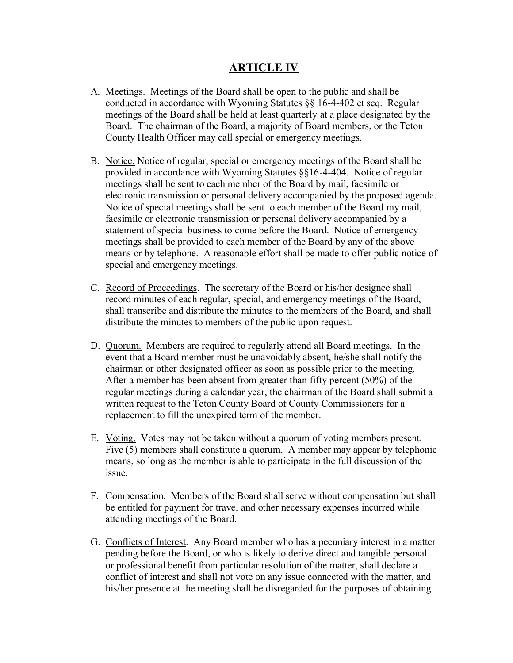### **ARTICLE IV**

- A. Meetings. Meetings of the Board shall be open to the public and shall be conducted in accordance with Wyoming Statutes §§ 16-4-402 et seq. Regular meetings of the Board shall be held at least quarterly at a place designated by the Board. The chairman of the Board, a majority of Board members, or the Teton County Health Officer may call special or emergency meetings.
- B. Notice. Notice of regular, special or emergency meetings of the Board shall be provided in accordance with Wyoming Statutes §§16-4-404. Notice of regular meetings shall be sent to each member of the Board by mail, facsimile or electronic transmission or personal delivery accompanied by the proposed agenda. Notice of special meetings shall be sent to each member of the Board my mail, facsimile or electronic transmission or personal delivery accompanied by a statement of special business to come before the Board. Notice of emergency meetings shall be provided to each member of the Board by any of the above means or by telephone. A reasonable effort shall be made to offer public notice of special and emergency meetings.
- C. Record of Proceedings. The secretary of the Board or his/her designee shall record minutes of each regular, special, and emergency meetings of the Board, shall transcribe and distribute the minutes to the members of the Board, and shall distribute the minutes to members of the public upon request.
- D. Quorum. Members are required to regularly attend all Board meetings. In the event that a Board member must be unavoidably absent, he/she shall notify the chairman or other designated officer as soon as possible prior to the meeting. After a member has been absent from greater than fifty percent (50%) of the regular meetings during a calendar year, the chairman of the Board shall submit a written request to the Teton County Board of County Commissioners for a replacement to fill the unexpired term of the member.
- E. Voting. Votes may not be taken without a quorum of voting members present. Five (5) members shall constitute a quorum. A member may appear by telephonic means, so long as the member is able to participate in the full discussion of the issue.
- F. Compensation. Members of the Board shall serve without compensation but shall be entitled for payment for travel and other necessary expenses incurred while attending meetings of the Board.
- G. Conflicts of Interest. Any Board member who has a pecuniary interest in a matter pending before the Board, or who is likely to derive direct and tangible personal or professional benefit from particular resolution of the matter, shall declare a conflict of interest and shall not vote on any issue connected with the matter, and his/her presence at the meeting shall be disregarded for the purposes of obtaining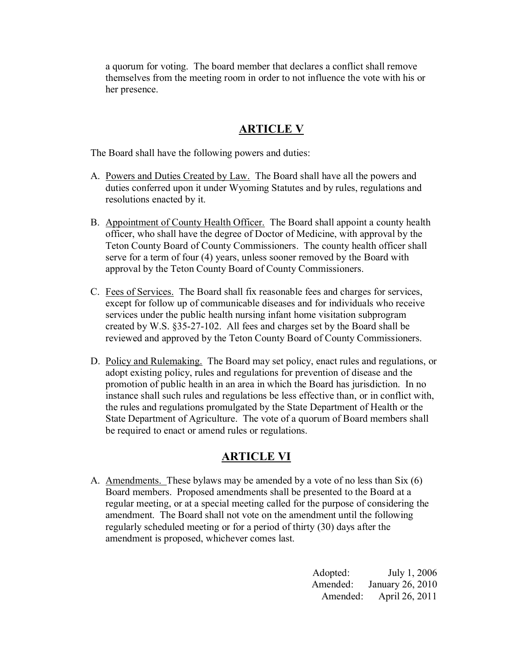a quorum for voting. The board member that declares a conflict shall remove themselves from the meeting room in order to not influence the vote with his or her presence.

### **ARTICLE V**

The Board shall have the following powers and duties:

- A. Powers and Duties Created by Law. The Board shall have all the powers and duties conferred upon it under Wyoming Statutes and by rules, regulations and resolutions enacted by it.
- B. Appointment of County Health Officer. The Board shall appoint a county health officer, who shall have the degree of Doctor of Medicine, with approval by the Teton County Board of County Commissioners. The county health officer shall serve for a term of four (4) years, unless sooner removed by the Board with approval by the Teton County Board of County Commissioners.
- C. Fees of Services. The Board shall fix reasonable fees and charges for services, except for follow up of communicable diseases and for individuals who receive services under the public health nursing infant home visitation subprogram created by W.S. §35-27-102. All fees and charges set by the Board shall be reviewed and approved by the Teton County Board of County Commissioners.
- D. Policy and Rulemaking. The Board may set policy, enact rules and regulations, or adopt existing policy, rules and regulations for prevention of disease and the promotion of public health in an area in which the Board has jurisdiction. In no instance shall such rules and regulations be less effective than, or in conflict with, the rules and regulations promulgated by the State Department of Health or the State Department of Agriculture. The vote of a quorum of Board members shall be required to enact or amend rules or regulations.

## **ARTICLE VI**

A. Amendments. These bylaws may be amended by a vote of no less than Six (6) Board members. Proposed amendments shall be presented to the Board at a regular meeting, or at a special meeting called for the purpose of considering the amendment. The Board shall not vote on the amendment until the following regularly scheduled meeting or for a period of thirty (30) days after the amendment is proposed, whichever comes last.

> Adopted: July 1, 2006 Amended: January 26, 2010 Amended: April 26, 2011